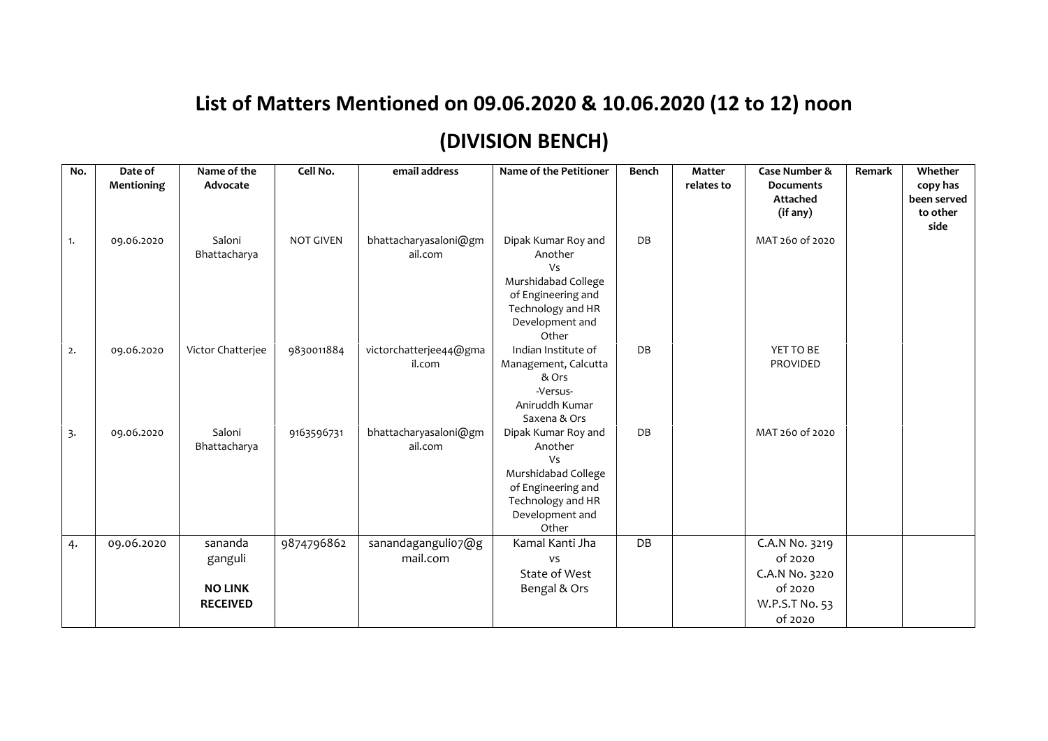## **List of Matters Mentioned on 09.06.2020 & 10.06.2020 (12 to 12) noon (DIVISION BENCH)**

| No. | Date of<br>Mentioning | Name of the<br>Advocate                                 | Cell No.         | email address                    | <b>Name of the Petitioner</b>                                                                                                             | <b>Bench</b> | <b>Matter</b><br>relates to | Case Number &<br><b>Documents</b><br>Attached<br>(if any)                           | <b>Remark</b> | Whether<br>copy has<br>been served<br>to other<br>side |
|-----|-----------------------|---------------------------------------------------------|------------------|----------------------------------|-------------------------------------------------------------------------------------------------------------------------------------------|--------------|-----------------------------|-------------------------------------------------------------------------------------|---------------|--------------------------------------------------------|
| 1.  | 09.06.2020            | Saloni<br>Bhattacharya                                  | <b>NOT GIVEN</b> | bhattacharyasaloni@gm<br>ail.com | Dipak Kumar Roy and<br>Another<br><b>Vs</b><br>Murshidabad College<br>of Engineering and<br>Technology and HR<br>Development and<br>Other | DB           |                             | MAT 260 of 2020                                                                     |               |                                                        |
| 2.  | 09.06.2020            | Victor Chatterjee                                       | 9830011884       | victorchatterjee44@gma<br>il.com | Indian Institute of<br>Management, Calcutta<br>& Ors<br>-Versus-<br>Aniruddh Kumar<br>Saxena & Ors                                        | DB           |                             | YET TO BE<br>PROVIDED                                                               |               |                                                        |
| 3.  | 09.06.2020            | Saloni<br>Bhattacharya                                  | 9163596731       | bhattacharyasaloni@gm<br>ail.com | Dipak Kumar Roy and<br>Another<br><b>Vs</b><br>Murshidabad College<br>of Engineering and<br>Technology and HR<br>Development and<br>Other | DB           |                             | MAT 260 of 2020                                                                     |               |                                                        |
| 4.  | 09.06.2020            | sananda<br>ganguli<br><b>NO LINK</b><br><b>RECEIVED</b> | 9874796862       | sanandagangulio7@g<br>mail.com   | Kamal Kanti Jha<br>vs<br>State of West<br>Bengal & Ors                                                                                    | DB           |                             | C.A.N No. 3219<br>of 2020<br>C.A.N No. 3220<br>of 2020<br>W.P.S.T No. 53<br>of 2020 |               |                                                        |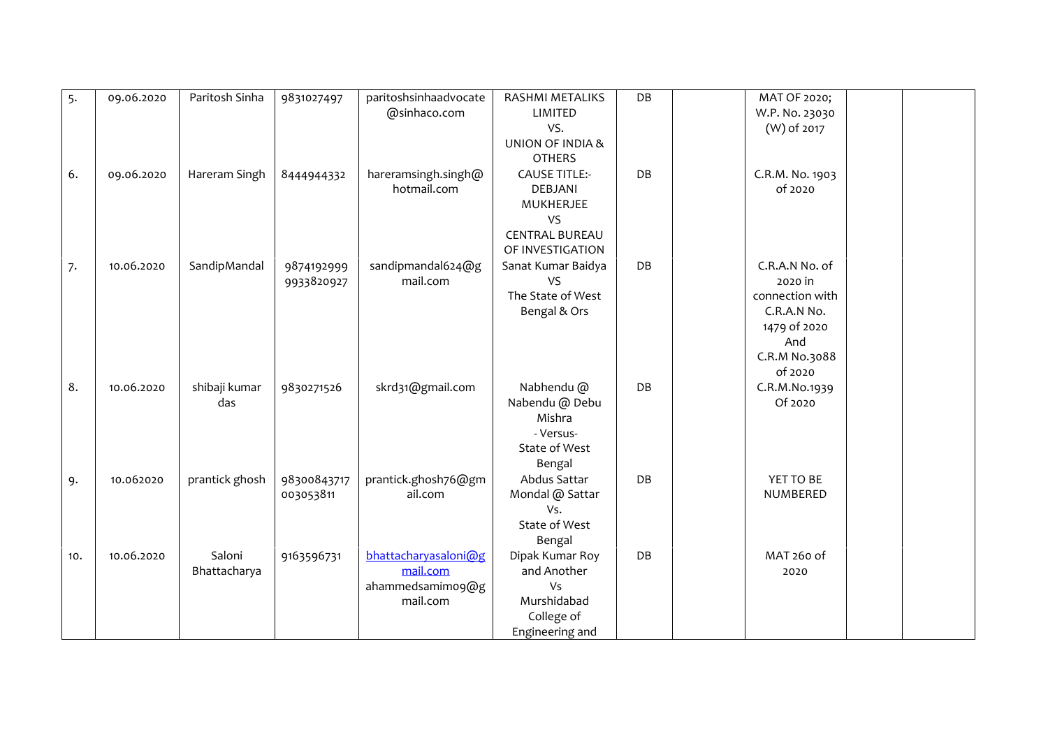| 5.  | 09.06.2020 | Paritosh Sinha         | 9831027497               | paritoshsinhaadvocate<br>@sinhaco.com                            | RASHMI METALIKS<br>LIMITED<br>VS.<br>UNION OF INDIA &<br><b>OTHERS</b>                                 | DB | MAT OF 2020;<br>W.P. No. 23030<br>(W) of 2017                                                                  |
|-----|------------|------------------------|--------------------------|------------------------------------------------------------------|--------------------------------------------------------------------------------------------------------|----|----------------------------------------------------------------------------------------------------------------|
| 6.  | 09.06.2020 | Hareram Singh          | 8444944332               | hareramsingh.singh@<br>hotmail.com                               | <b>CAUSE TITLE:-</b><br><b>DEBJANI</b><br>MUKHERJEE<br>VS<br><b>CENTRAL BUREAU</b><br>OF INVESTIGATION | DB | C.R.M. No. 1903<br>of 2020                                                                                     |
| 7.  | 10.06.2020 | SandipMandal           | 9874192999<br>9933820927 | sandipmandal624@g<br>mail.com                                    | Sanat Kumar Baidya<br><b>VS</b><br>The State of West<br>Bengal & Ors                                   | DB | C.R.A.N No. of<br>2020 in<br>connection with<br>C.R.A.N No.<br>1479 of 2020<br>And<br>C.R.M No.3088<br>of 2020 |
| 8.  | 10.06.2020 | shibaji kumar<br>das   | 9830271526               | skrd31@gmail.com                                                 | Nabhendu @<br>Nabendu @ Debu<br>Mishra<br>- Versus-<br>State of West<br>Bengal                         | DB | C.R.M.No.1939<br>Of 2020                                                                                       |
| 9.  | 10.062020  | prantick ghosh         | 98300843717<br>003053811 | prantick.ghosh76@gm<br>ail.com                                   | Abdus Sattar<br>Mondal @ Sattar<br>Vs.<br>State of West<br>Bengal                                      | DB | YET TO BE<br>NUMBERED                                                                                          |
| 10. | 10.06.2020 | Saloni<br>Bhattacharya | 9163596731               | bhattacharyasaloni@g<br>mail.com<br>ahammedsamimo9@g<br>mail.com | Dipak Kumar Roy<br>and Another<br>Vs<br>Murshidabad<br>College of<br>Engineering and                   | DB | MAT 260 of<br>2020                                                                                             |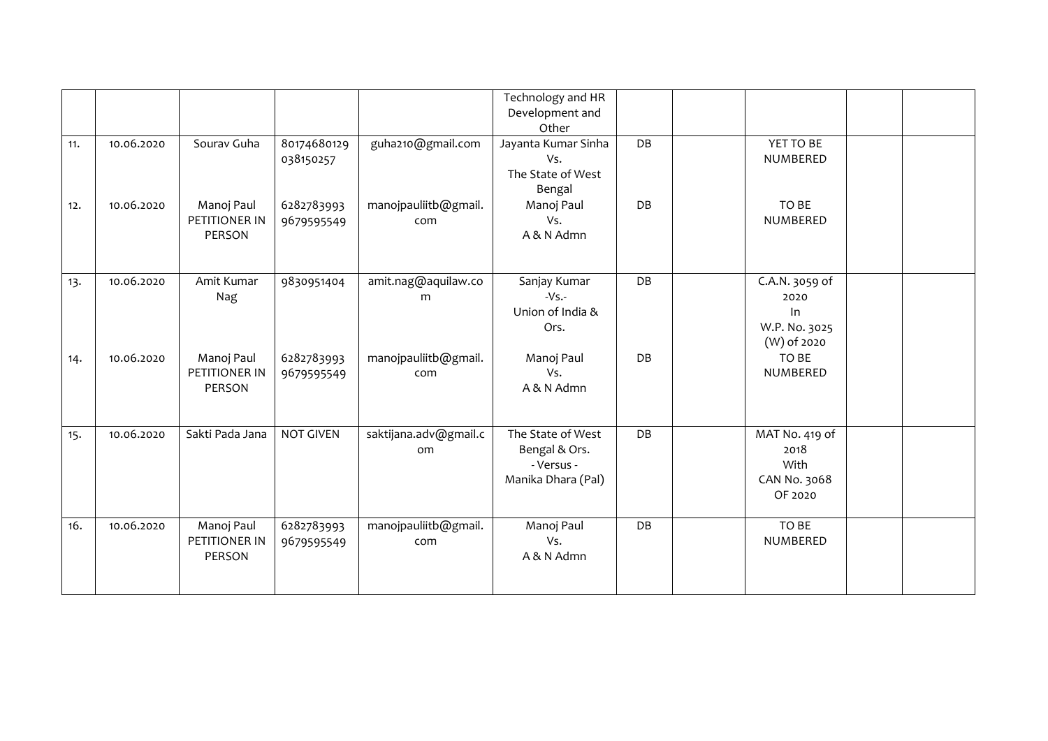| 11.<br>12. | 10.06.2020<br>10.06.2020 | Sourav Guha<br>Manoj Paul<br>PETITIONER IN<br>PERSON | 80174680129<br>038150257<br>6282783993<br>9679595549 | guha210@gmail.com<br>manojpauliitb@gmail.<br>com | Technology and HR<br>Development and<br>Other<br>Jayanta Kumar Sinha<br>Vs.<br>The State of West<br>Bengal<br>Manoj Paul<br>Vs.<br>A & N Admn | DB<br>DB | YET TO BE<br>NUMBERED<br>TO BE<br>NUMBERED                   |  |
|------------|--------------------------|------------------------------------------------------|------------------------------------------------------|--------------------------------------------------|-----------------------------------------------------------------------------------------------------------------------------------------------|----------|--------------------------------------------------------------|--|
| 13.        | 10.06.2020               | Amit Kumar<br>Nag                                    | 9830951404                                           | amit.nag@aquilaw.co<br>m                         | Sanjay Kumar<br>$-Vs$ .<br>Union of India &<br>Ors.                                                                                           | DB       | C.A.N. 3059 of<br>2020<br>ln<br>W.P. No. 3025<br>(W) of 2020 |  |
| 14.        | 10.06.2020               | Manoj Paul<br>PETITIONER IN<br>PERSON                | 6282783993<br>9679595549                             | manojpauliitb@gmail.<br>com                      | Manoj Paul<br>Vs.<br>A & N Admn                                                                                                               | DB       | TO BE<br>NUMBERED                                            |  |
| 15.        | 10.06.2020               | Sakti Pada Jana                                      | <b>NOT GIVEN</b>                                     | saktijana.adv@gmail.c<br>om                      | The State of West<br>Bengal & Ors.<br>- Versus -<br>Manika Dhara (Pal)                                                                        | DB       | MAT No. 419 of<br>2018<br>With<br>CAN No. 3068<br>OF 2020    |  |
| 16.        | 10.06.2020               | Manoj Paul<br>PETITIONER IN<br><b>PERSON</b>         | 6282783993<br>9679595549                             | manojpauliitb@gmail.<br>com                      | Manoj Paul<br>Vs.<br>A & N Admn                                                                                                               | DB       | TO BE<br>NUMBERED                                            |  |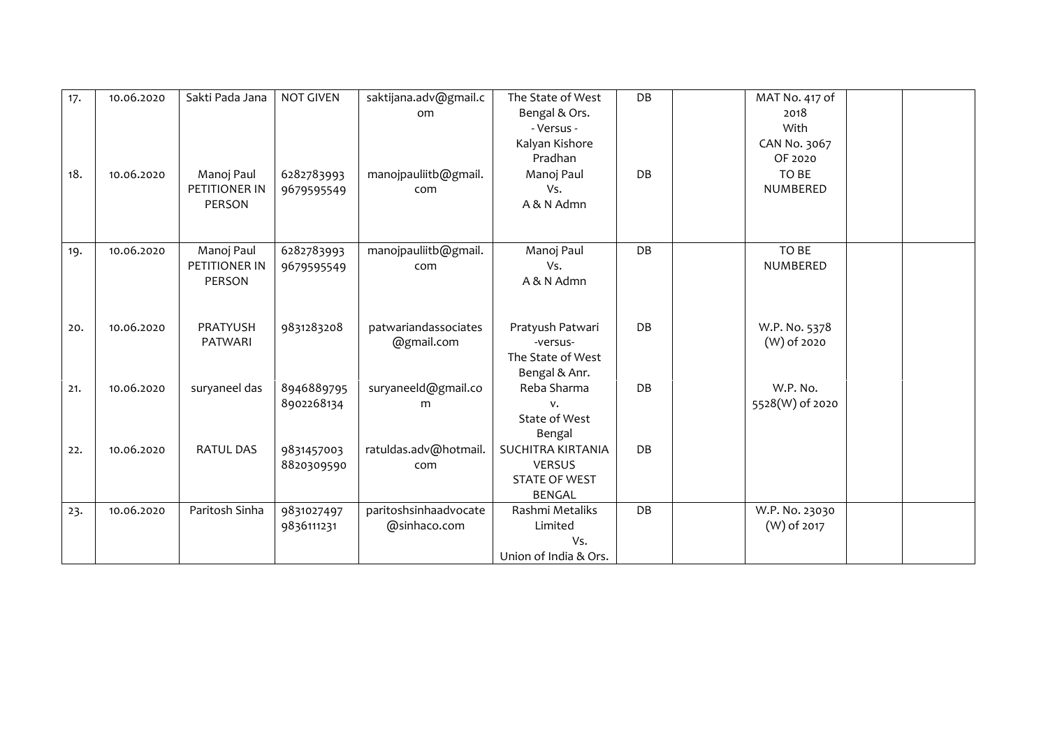| 17. | 10.06.2020 | Sakti Pada Jana                       | <b>NOT GIVEN</b>         | saktijana.adv@gmail.c<br><sub>om</sub> | The State of West<br>Bengal & Ors.<br>- Versus -<br>Kalyan Kishore<br>Pradhan      | DB | MAT No. 417 of<br>2018<br>With<br>CAN No. 3067<br>OF 2020 |
|-----|------------|---------------------------------------|--------------------------|----------------------------------------|------------------------------------------------------------------------------------|----|-----------------------------------------------------------|
| 18. | 10.06.2020 | Manoj Paul<br>PETITIONER IN<br>PERSON | 6282783993<br>9679595549 | manojpauliitb@gmail.<br>com            | Manoj Paul<br>Vs.<br>A & N Admn                                                    | DB | TO BE<br>NUMBERED                                         |
| 19. | 10.06.2020 | Manoj Paul<br>PETITIONER IN<br>PERSON | 6282783993<br>9679595549 | manojpauliitb@gmail.<br>com            | Manoj Paul<br>Vs.<br>A & N Admn                                                    | DB | TO BE<br>NUMBERED                                         |
| 20. | 10.06.2020 | <b>PRATYUSH</b><br>PATWARI            | 9831283208               | patwariandassociates<br>@gmail.com     | Pratyush Patwari<br>-versus-<br>The State of West<br>Bengal & Anr.                 | DB | W.P. No. 5378<br>(W) of 2020                              |
| 21. | 10.06.2020 | suryaneel das                         | 8946889795<br>8902268134 | suryaneeld@gmail.co<br>m               | Reba Sharma<br>v.<br>State of West<br>Bengal                                       | DB | W.P. No.<br>5528(W) of 2020                               |
| 22. | 10.06.2020 | <b>RATUL DAS</b>                      | 9831457003<br>8820309590 | ratuldas.adv@hotmail.<br>com           | <b>SUCHITRA KIRTANIA</b><br><b>VERSUS</b><br><b>STATE OF WEST</b><br><b>BENGAL</b> | DB |                                                           |
| 23. | 10.06.2020 | Paritosh Sinha                        | 9831027497<br>9836111231 | paritoshsinhaadvocate<br>@sinhaco.com  | Rashmi Metaliks<br>Limited<br>Vs.<br>Union of India & Ors.                         | DB | W.P. No. 23030<br>(W) of 2017                             |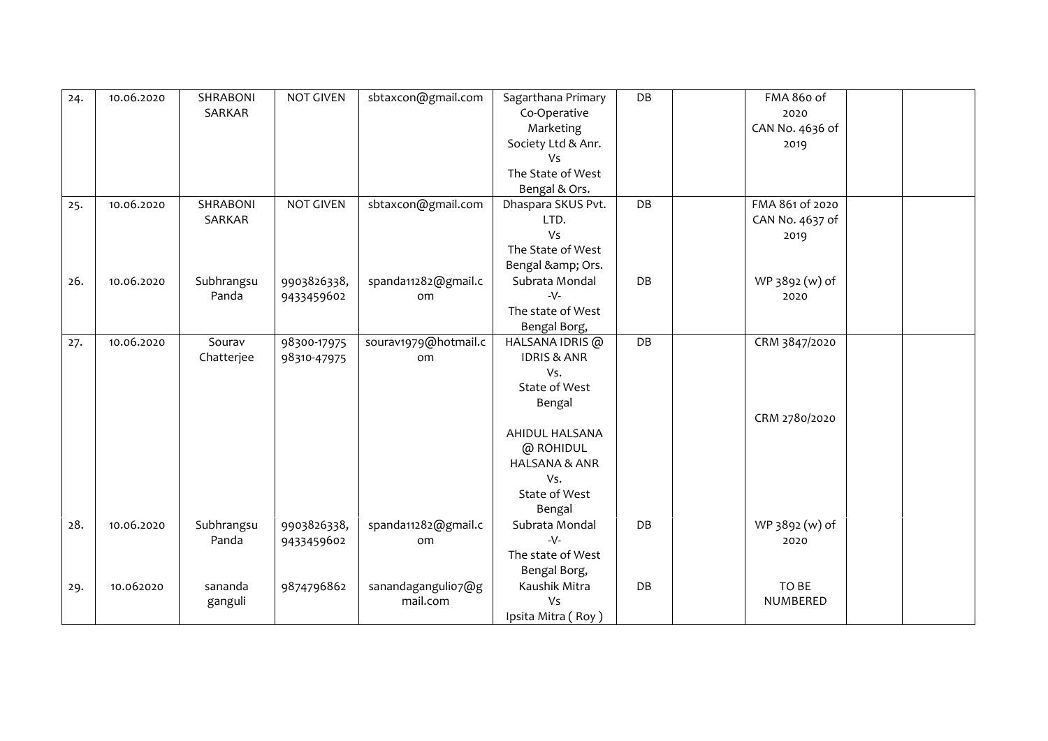| 24. | 10.06.2020 | SHRABONI<br>SARKAR   | <b>NOT GIVEN</b>           | sbtaxcon@gmail.com                   | Sagarthana Primary<br>Co-Operative<br>Marketing<br>Society Ltd & Anr.<br>Vs<br>The State of West<br>Bengal & Ors. | DB | FMA 860 of<br>2020<br>CAN No. 4636 of<br>2019 |
|-----|------------|----------------------|----------------------------|--------------------------------------|-------------------------------------------------------------------------------------------------------------------|----|-----------------------------------------------|
| 25. | 10.06.2020 | SHRABONI<br>SARKAR   | <b>NOT GIVEN</b>           | sbtaxcon@gmail.com                   | Dhaspara SKUS Pvt.<br>LTD.<br>Vs<br>The State of West<br>Bengal & Ors.                                            | DB | FMA 861 of 2020<br>CAN No. 4637 of<br>2019    |
| 26. | 10.06.2020 | Subhrangsu<br>Panda  | 9903826338,<br>9433459602  | spanda11282@gmail.c<br><sub>om</sub> | Subrata Mondal<br>$-V$ -<br>The state of West<br>Bengal Borg,                                                     | DB | WP 3892 (w) of<br>2020                        |
| 27. | 10.06.2020 | Sourav<br>Chatterjee | 98300-17975<br>98310-47975 | sourav1979@hotmail.c<br>om           | HALSANA IDRIS @<br><b>IDRIS &amp; ANR</b><br>Vs.<br>State of West<br>Bengal                                       | DB | CRM 3847/2020                                 |
|     |            |                      |                            |                                      | AHIDUL HALSANA<br>@ ROHIDUL<br><b>HALSANA &amp; ANR</b><br>Vs.<br>State of West<br>Bengal                         |    | CRM 2780/2020                                 |
| 28. | 10.06.2020 | Subhrangsu<br>Panda  | 9903826338,<br>9433459602  | spanda11282@gmail.c<br>om            | Subrata Mondal<br>$-V$ -<br>The state of West<br>Bengal Borg,                                                     | DB | WP 3892 (w) of<br>2020                        |
| 29. | 10.062020  | sananda<br>ganguli   | 9874796862                 | sanandagangulio7@g<br>mail.com       | Kaushik Mitra<br>Vs<br>Ipsita Mitra (Roy)                                                                         | DB | TO BE<br>NUMBERED                             |